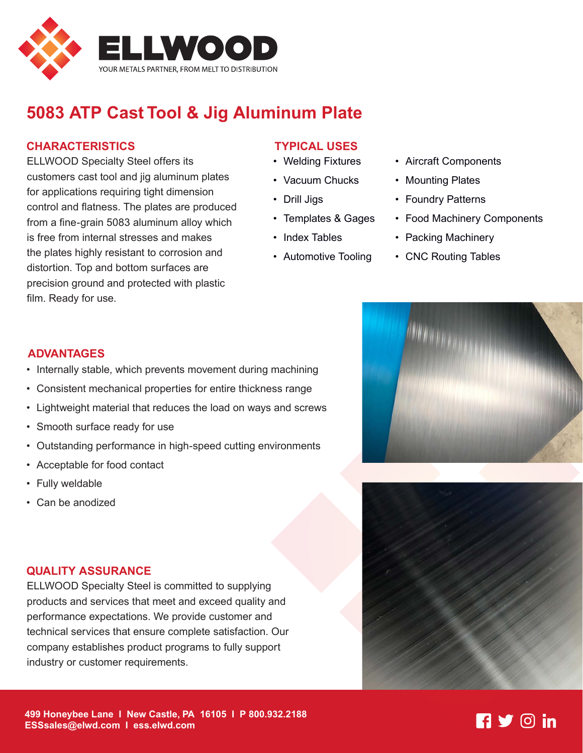

## **5083 ATP Cast Tool & Jig Aluminum Plate**

#### **CHARACTERISTICS**

ELLWOOD Specialty Steel offers its customers cast tool and jig aluminum plates for applications requiring tight dimension control and flatness. The plates are produced from a fine-grain 5083 aluminum alloy which is free from internal stresses and makes the plates highly resistant to corrosion and distortion. Top and bottom surfaces are precision ground and protected with plastic film. Ready for use.

### **TYPICAL USES**

- Welding Fixtures
- Vacuum Chucks
- Drill Jigs
- Templates & Gages
- Index Tables
- Automotive Tooling
- Aircraft Components
- Mounting Plates
- Foundry Patterns
- Food Machinery Components
- Packing Machinery
- CNC Routing Tables

### **ADVANTAGES**

- Internally stable, which prevents movement during machining
- Consistent mechanical properties for entire thickness range
- Lightweight material that reduces the load on ways and screws
- Smooth surface ready for use
- Outstanding performance in high-speed cutting environments
- Acceptable for food contact
- Fully weldable
- Can be anodized

#### **QUALITY ASSURANCE**

ELLWOOD Specialty Steel is committed to supplying products and services that meet and exceed quality and performance expectations. We provide customer and technical services that ensure complete satisfaction. Our company establishes product programs to fully support industry or customer requirements.